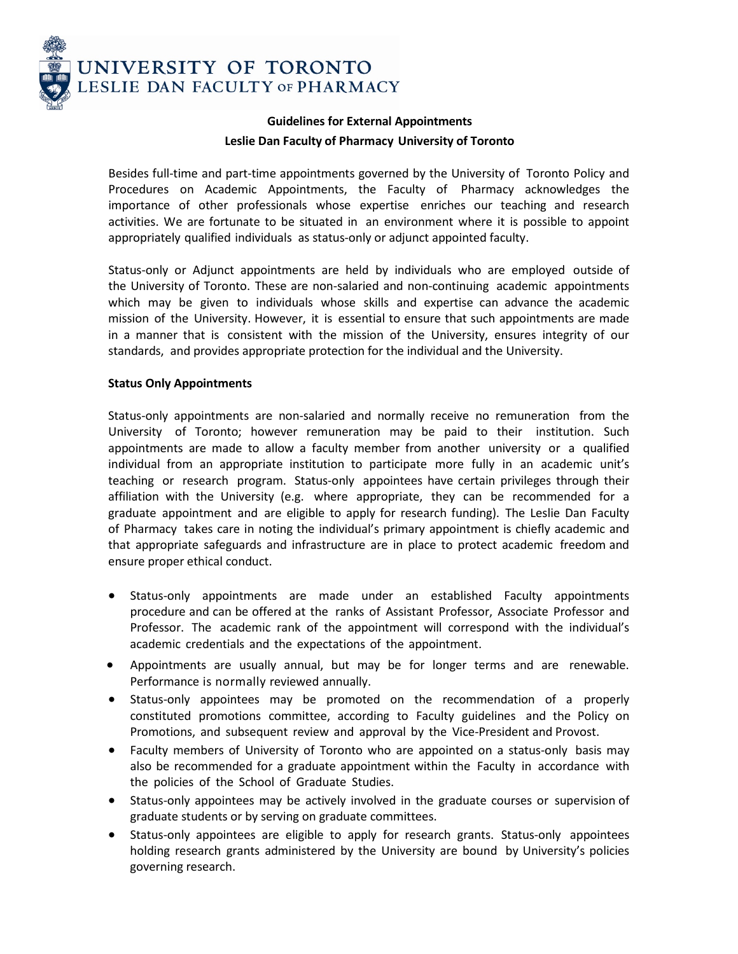

# **Guidelines for External Appointments Leslie Dan Faculty of Pharmacy University of Toronto**

Besides full-time and part-time appointments governed by the University of Toronto Policy and Procedures on Academic Appointments, the Faculty of Pharmacy acknowledges the importance of other professionals whose expertise enriches our teaching and research activities. We are fortunate to be situated in an environment where it is possible to appoint appropriately qualified individuals as status-only or adjunct appointed faculty.

Status-only or Adjunct appointments are held by individuals who are employed outside of the University of Toronto. These are non-salaried and non-continuing academic appointments which may be given to individuals whose skills and expertise can advance the academic mission of the University. However, it is essential to ensure that such appointments are made in a manner that is consistent with the mission of the University, ensures integrity of our standards, and provides appropriate protection for the individual and the University.

## **Status Only Appointments**

Status-only appointments are non-salaried and normally receive no remuneration from the University of Toronto; however remuneration may be paid to their institution. Such appointments are made to allow a faculty member from another university or a qualified individual from an appropriate institution to participate more fully in an academic unit's teaching or research program. Status-only appointees have certain privileges through their affiliation with the University (e.g. where appropriate, they can be recommended for a graduate appointment and are eligible to apply for research funding). The Leslie Dan Faculty of Pharmacy takes care in noting the individual's primary appointment is chiefly academic and that appropriate safeguards and infrastructure are in place to protect academic freedom and ensure proper ethical conduct.

- Status-only appointments are made under an established Faculty appointments procedure and can be offered at the ranks of Assistant Professor, Associate Professor and Professor. The academic rank of the appointment will correspond with the individual's academic credentials and the expectations of the appointment.
- Appointments are usually annual, but may be for longer terms and are renewable. Performance is normally reviewed annually.
- Status-only appointees may be promoted on the recommendation of a properly constituted promotions committee, according to Faculty guidelines and the Policy on Promotions, and subsequent review and approval by the Vice-President and Provost.
- Faculty members of University of Toronto who are appointed on a status-only basis may also be recommended for a graduate appointment within the Faculty in accordance with the policies of the School of Graduate Studies.
- Status-only appointees may be actively involved in the graduate courses or supervision of graduate students or by serving on graduate committees.
- Status-only appointees are eligible to apply for research grants. Status-only appointees holding research grants administered by the University are bound by University's policies governing research.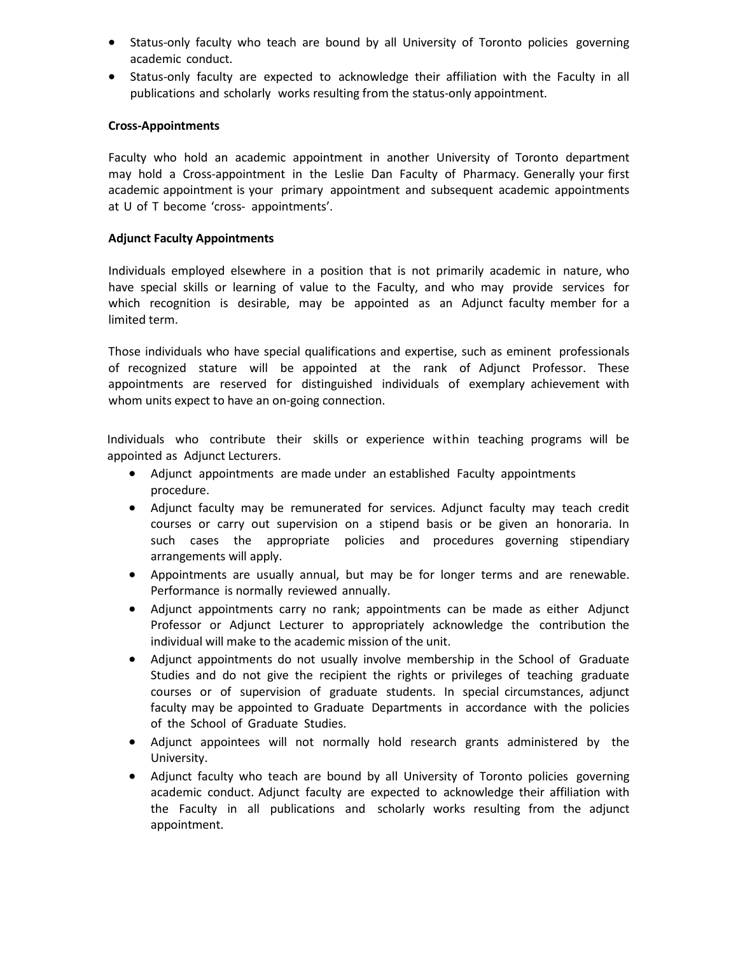- Status-only faculty who teach are bound by all University of Toronto policies governing academic conduct.
- Status-only faculty are expected to acknowledge their affiliation with the Faculty in all publications and scholarly works resulting from the status-only appointment.

#### **Cross-Appointments**

Faculty who hold an academic appointment in another University of Toronto department may hold a Cross-appointment in the Leslie Dan Faculty of Pharmacy. Generally your first academic appointment is your primary appointment and subsequent academic appointments at U of T become 'cross- appointments'.

#### **Adjunct Faculty Appointments**

Individuals employed elsewhere in a position that is not primarily academic in nature, who have special skills or learning of value to the Faculty, and who may provide services for which recognition is desirable, may be appointed as an Adjunct faculty member for a limited term.

Those individuals who have special qualifications and expertise, such as eminent professionals of recognized stature will be appointed at the rank of Adjunct Professor. These appointments are reserved for distinguished individuals of exemplary achievement with whom units expect to have an on-going connection.

Individuals who contribute their skills or experience within teaching programs will be appointed as Adjunct Lecturers.

- Adjunct appointments are made under an established Faculty appointments procedure.
- Adjunct faculty may be remunerated for services. Adjunct faculty may teach credit courses or carry out supervision on a stipend basis or be given an honoraria. In such cases the appropriate policies and procedures governing stipendiary arrangements will apply.
- Appointments are usually annual, but may be for longer terms and are renewable. Performance is normally reviewed annually.
- Adjunct appointments carry no rank; appointments can be made as either Adjunct Professor or Adjunct Lecturer to appropriately acknowledge the contribution the individual will make to the academic mission of the unit.
- Adjunct appointments do not usually involve membership in the School of Graduate Studies and do not give the recipient the rights or privileges of teaching graduate courses or of supervision of graduate students. In special circumstances, adjunct faculty may be appointed to Graduate Departments in accordance with the policies of the School of Graduate Studies.
- Adjunct appointees will not normally hold research grants administered by the University.
- Adjunct faculty who teach are bound by all University of Toronto policies governing academic conduct. Adjunct faculty are expected to acknowledge their affiliation with the Faculty in all publications and scholarly works resulting from the adjunct appointment.